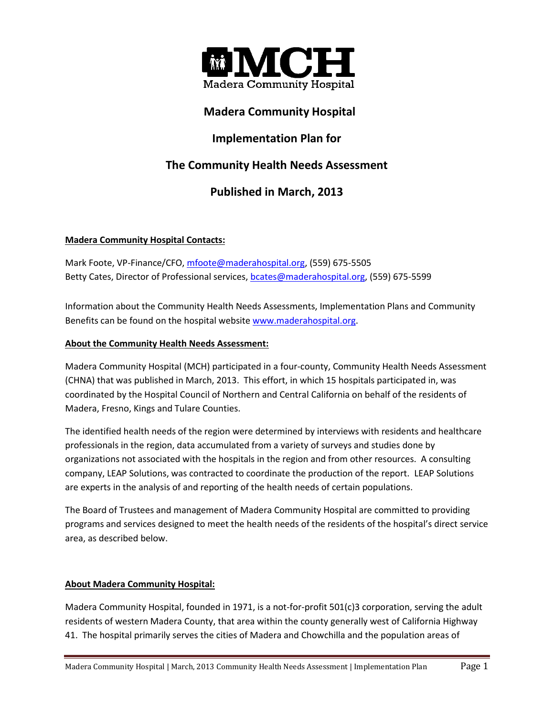

## **Madera Community Hospital**

## **Implementation Plan for**

# **The Community Health Needs Assessment**

# **Published in March, 2013**

## **Madera Community Hospital Contacts:**

Mark Foote, VP-Finance/CFO[, mfoote@maderahospital.org,](mailto:mfoote@maderahospital.org) (559) 675-5505 Betty Cates, Director of Professional services, **bcates@maderahospital.org**, (559) 675-5599

Information about the Community Health Needs Assessments, Implementation Plans and Community Benefits can be found on the hospital website [www.maderahospital.org.](http://www.maderahospital.org/)

#### **About the Community Health Needs Assessment:**

Madera Community Hospital (MCH) participated in a four-county, Community Health Needs Assessment (CHNA) that was published in March, 2013. This effort, in which 15 hospitals participated in, was coordinated by the Hospital Council of Northern and Central California on behalf of the residents of Madera, Fresno, Kings and Tulare Counties.

The identified health needs of the region were determined by interviews with residents and healthcare professionals in the region, data accumulated from a variety of surveys and studies done by organizations not associated with the hospitals in the region and from other resources. A consulting company, LEAP Solutions, was contracted to coordinate the production of the report. LEAP Solutions are experts in the analysis of and reporting of the health needs of certain populations.

The Board of Trustees and management of Madera Community Hospital are committed to providing programs and services designed to meet the health needs of the residents of the hospital's direct service area, as described below.

## **About Madera Community Hospital:**

Madera Community Hospital, founded in 1971, is a not-for-profit 501(c)3 corporation, serving the adult residents of western Madera County, that area within the county generally west of California Highway 41. The hospital primarily serves the cities of Madera and Chowchilla and the population areas of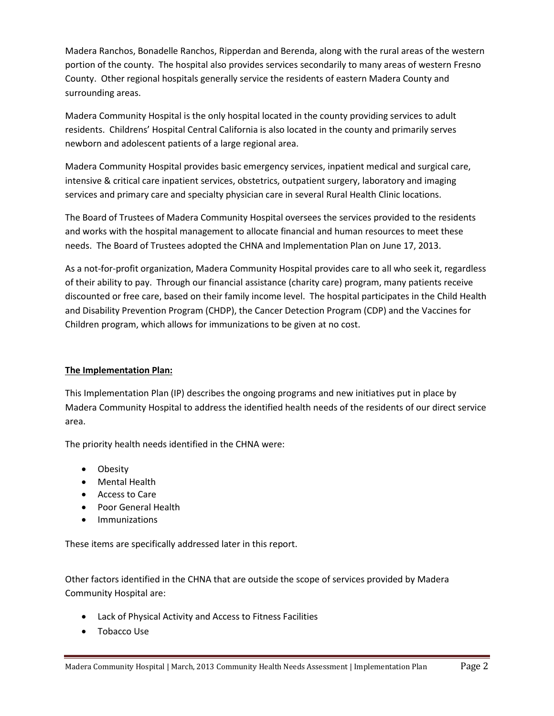Madera Ranchos, Bonadelle Ranchos, Ripperdan and Berenda, along with the rural areas of the western portion of the county. The hospital also provides services secondarily to many areas of western Fresno County. Other regional hospitals generally service the residents of eastern Madera County and surrounding areas.

Madera Community Hospital is the only hospital located in the county providing services to adult residents. Childrens' Hospital Central California is also located in the county and primarily serves newborn and adolescent patients of a large regional area.

Madera Community Hospital provides basic emergency services, inpatient medical and surgical care, intensive & critical care inpatient services, obstetrics, outpatient surgery, laboratory and imaging services and primary care and specialty physician care in several Rural Health Clinic locations.

The Board of Trustees of Madera Community Hospital oversees the services provided to the residents and works with the hospital management to allocate financial and human resources to meet these needs. The Board of Trustees adopted the CHNA and Implementation Plan on June 17, 2013.

As a not-for-profit organization, Madera Community Hospital provides care to all who seek it, regardless of their ability to pay. Through our financial assistance (charity care) program, many patients receive discounted or free care, based on their family income level. The hospital participates in the Child Health and Disability Prevention Program (CHDP), the Cancer Detection Program (CDP) and the Vaccines for Children program, which allows for immunizations to be given at no cost.

## **The Implementation Plan:**

This Implementation Plan (IP) describes the ongoing programs and new initiatives put in place by Madera Community Hospital to address the identified health needs of the residents of our direct service area.

The priority health needs identified in the CHNA were:

- Obesity
- Mental Health
- Access to Care
- Poor General Health
- Immunizations

These items are specifically addressed later in this report.

Other factors identified in the CHNA that are outside the scope of services provided by Madera Community Hospital are:

- Lack of Physical Activity and Access to Fitness Facilities
- Tobacco Use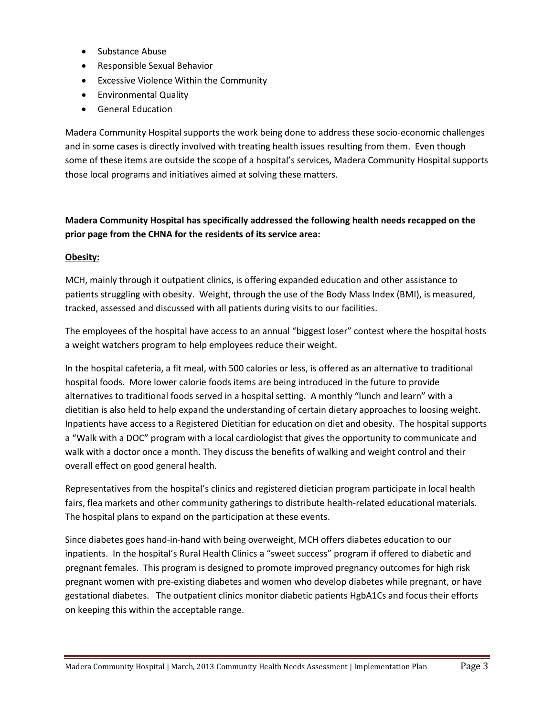- Substance Abuse
- Responsible Sexual Behavior
- Excessive Violence Within the Community
- **•** Environmental Quality
- General Education

Madera Community Hospital supports the work being done to address these socio-economic challenges and in some cases is directly involved with treating health issues resulting from them. Even though some of these items are outside the scope of a hospital's services, Madera Community Hospital supports those local programs and initiatives aimed at solving these matters.

## **Madera Community Hospital has specifically addressed the following health needs recapped on the prior page from the CHNA for the residents of its service area:**

#### **Obesity:**

MCH, mainly through it outpatient clinics, is offering expanded education and other assistance to patients struggling with obesity. Weight, through the use of the Body Mass Index (BMI), is measured, tracked, assessed and discussed with all patients during visits to our facilities.

The employees of the hospital have access to an annual "biggest loser" contest where the hospital hosts a weight watchers program to help employees reduce their weight.

In the hospital cafeteria, a fit meal, with 500 calories or less, is offered as an alternative to traditional hospital foods. More lower calorie foods items are being introduced in the future to provide alternatives to traditional foods served in a hospital setting. A monthly "lunch and learn" with a dietitian is also held to help expand the understanding of certain dietary approaches to loosing weight. Inpatients have access to a Registered Dietitian for education on diet and obesity. The hospital supports a "Walk with a DOC" program with a local cardiologist that gives the opportunity to communicate and walk with a doctor once a month. They discuss the benefits of walking and weight control and their overall effect on good general health.

Representatives from the hospital's clinics and registered dietician program participate in local health fairs, flea markets and other community gatherings to distribute health-related educational materials. The hospital plans to expand on the participation at these events.

Since diabetes goes hand-in-hand with being overweight, MCH offers diabetes education to our inpatients. In the hospital's Rural Health Clinics a "sweet success" program if offered to diabetic and pregnant females. This program is designed to promote improved pregnancy outcomes for high risk pregnant women with pre-existing diabetes and women who develop diabetes while pregnant, or have gestational diabetes. The outpatient clinics monitor diabetic patients HgbA1Cs and focus their efforts on keeping this within the acceptable range.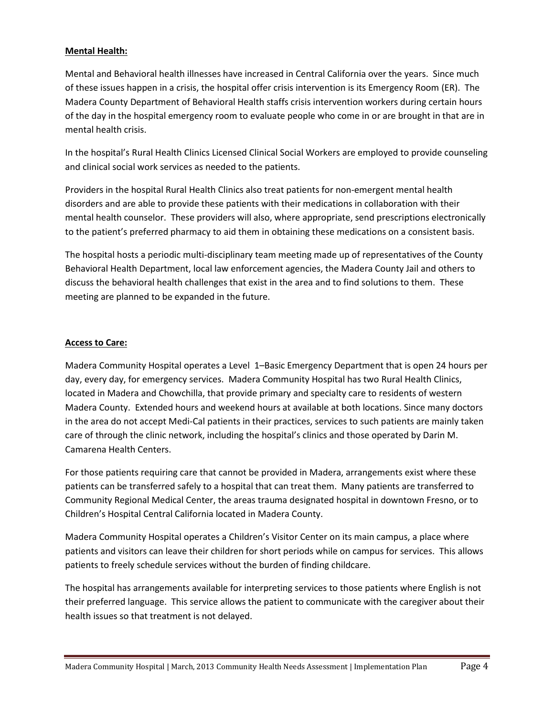#### **Mental Health:**

Mental and Behavioral health illnesses have increased in Central California over the years. Since much of these issues happen in a crisis, the hospital offer crisis intervention is its Emergency Room (ER). The Madera County Department of Behavioral Health staffs crisis intervention workers during certain hours of the day in the hospital emergency room to evaluate people who come in or are brought in that are in mental health crisis.

In the hospital's Rural Health Clinics Licensed Clinical Social Workers are employed to provide counseling and clinical social work services as needed to the patients.

Providers in the hospital Rural Health Clinics also treat patients for non-emergent mental health disorders and are able to provide these patients with their medications in collaboration with their mental health counselor. These providers will also, where appropriate, send prescriptions electronically to the patient's preferred pharmacy to aid them in obtaining these medications on a consistent basis.

The hospital hosts a periodic multi-disciplinary team meeting made up of representatives of the County Behavioral Health Department, local law enforcement agencies, the Madera County Jail and others to discuss the behavioral health challenges that exist in the area and to find solutions to them. These meeting are planned to be expanded in the future.

#### **Access to Care:**

Madera Community Hospital operates a Level 1–Basic Emergency Department that is open 24 hours per day, every day, for emergency services. Madera Community Hospital has two Rural Health Clinics, located in Madera and Chowchilla, that provide primary and specialty care to residents of western Madera County. Extended hours and weekend hours at available at both locations. Since many doctors in the area do not accept Medi-Cal patients in their practices, services to such patients are mainly taken care of through the clinic network, including the hospital's clinics and those operated by Darin M. Camarena Health Centers.

For those patients requiring care that cannot be provided in Madera, arrangements exist where these patients can be transferred safely to a hospital that can treat them. Many patients are transferred to Community Regional Medical Center, the areas trauma designated hospital in downtown Fresno, or to Children's Hospital Central California located in Madera County.

Madera Community Hospital operates a Children's Visitor Center on its main campus, a place where patients and visitors can leave their children for short periods while on campus for services. This allows patients to freely schedule services without the burden of finding childcare.

The hospital has arrangements available for interpreting services to those patients where English is not their preferred language. This service allows the patient to communicate with the caregiver about their health issues so that treatment is not delayed.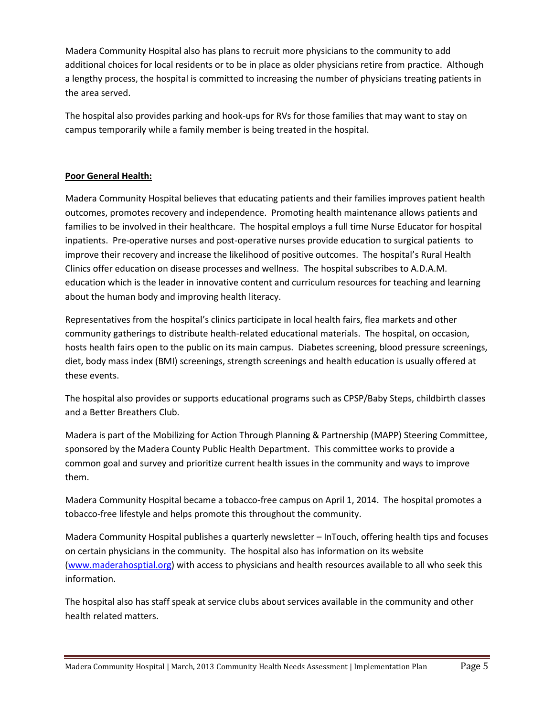Madera Community Hospital also has plans to recruit more physicians to the community to add additional choices for local residents or to be in place as older physicians retire from practice. Although a lengthy process, the hospital is committed to increasing the number of physicians treating patients in the area served.

The hospital also provides parking and hook-ups for RVs for those families that may want to stay on campus temporarily while a family member is being treated in the hospital.

#### **Poor General Health:**

Madera Community Hospital believes that educating patients and their families improves patient health outcomes, promotes recovery and independence. Promoting health maintenance allows patients and families to be involved in their healthcare. The hospital employs a full time Nurse Educator for hospital inpatients. Pre-operative nurses and post-operative nurses provide education to surgical patients to improve their recovery and increase the likelihood of positive outcomes. The hospital's Rural Health Clinics offer education on disease processes and wellness. The hospital subscribes to A.D.A.M. education which is the leader in innovative content and curriculum resources for teaching and learning about the human body and improving health literacy.

Representatives from the hospital's clinics participate in local health fairs, flea markets and other community gatherings to distribute health-related educational materials. The hospital, on occasion, hosts health fairs open to the public on its main campus. Diabetes screening, blood pressure screenings, diet, body mass index (BMI) screenings, strength screenings and health education is usually offered at these events.

The hospital also provides or supports educational programs such as CPSP/Baby Steps, childbirth classes and a Better Breathers Club.

Madera is part of the Mobilizing for Action Through Planning & Partnership (MAPP) Steering Committee, sponsored by the Madera County Public Health Department. This committee works to provide a common goal and survey and prioritize current health issues in the community and ways to improve them.

Madera Community Hospital became a tobacco-free campus on April 1, 2014. The hospital promotes a tobacco-free lifestyle and helps promote this throughout the community.

Madera Community Hospital publishes a quarterly newsletter – InTouch, offering health tips and focuses on certain physicians in the community. The hospital also has information on its website [\(www.maderahosptial.org\)](http://www.maderahosptial.org/) with access to physicians and health resources available to all who seek this information.

The hospital also has staff speak at service clubs about services available in the community and other health related matters.